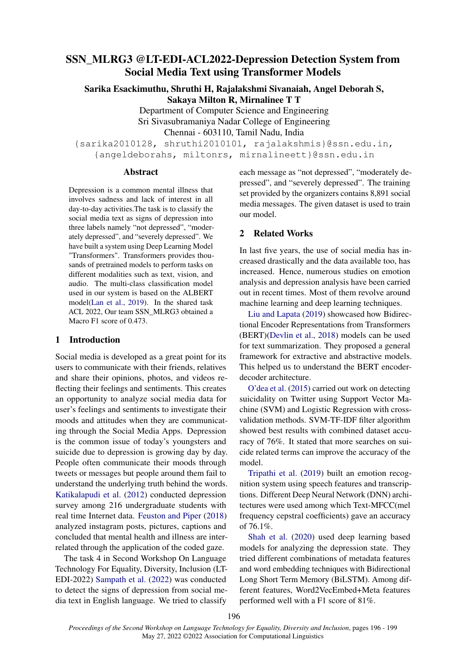# SSN\_MLRG3 @LT-EDI-ACL2022-Depression Detection System from Social Media Text using Transformer Models

Sarika Esackimuthu, Shruthi H, Rajalakshmi Sivanaiah, Angel Deborah S, Sakaya Milton R, Mirnalinee T T

> Department of Computer Science and Engineering Sri Sivasubramaniya Nadar College of Engineering Chennai - 603110, Tamil Nadu, India

{sarika2010128, shruthi2010101, rajalakshmis}@ssn.edu.in, {angeldeborahs, miltonrs, mirnalineett}@ssn.edu.in

### Abstract

Depression is a common mental illness that involves sadness and lack of interest in all day-to-day activities.The task is to classify the social media text as signs of depression into three labels namely "not depressed", "moderately depressed", and "severely depressed". We have built a system using Deep Learning Model "Transformers". Transformers provides thousands of pretrained models to perform tasks on different modalities such as text, vision, and audio. The multi-class classification model used in our system is based on the ALBERT model[\(Lan et al.,](#page-3-0) [2019\)](#page-3-0). In the shared task ACL 2022, Our team SSN\_MLRG3 obtained a Macro F1 score of 0.473.

# 1 Introduction

Social media is developed as a great point for its users to communicate with their friends, relatives and share their opinions, photos, and videos reflecting their feelings and sentiments. This creates an opportunity to analyze social media data for user's feelings and sentiments to investigate their moods and attitudes when they are communicating through the Social Media Apps. Depression is the common issue of today's youngsters and suicide due to depression is growing day by day. People often communicate their moods through tweets or messages but people around them fail to understand the underlying truth behind the words. [Katikalapudi et al.](#page-3-1) [\(2012\)](#page-3-1) conducted depression survey among 216 undergraduate students with real time Internet data. [Feuston and Piper](#page-3-2) [\(2018\)](#page-3-2) analyzed instagram posts, pictures, captions and concluded that mental health and illness are interrelated through the application of the coded gaze.

The task 4 in Second Workshop On Language Technology For Equality, Diversity, Inclusion (LT-EDI-2022) [Sampath et al.](#page-3-3) [\(2022\)](#page-3-3) was conducted to detect the signs of depression from social media text in English language. We tried to classify

each message as "not depressed", "moderately depressed", and "severely depressed". The training set provided by the organizers contains 8,891 social media messages. The given dataset is used to train our model.

# 2 Related Works

In last five years, the use of social media has increased drastically and the data available too, has increased. Hence, numerous studies on emotion analysis and depression analysis have been carried out in recent times. Most of them revolve around machine learning and deep learning techniques.

[Liu and Lapata](#page-3-4) [\(2019\)](#page-3-4) showcased how Bidirectional Encoder Representations from Transformers (BERT)[\(Devlin et al.,](#page-3-5) [2018\)](#page-3-5) models can be used for text summarization. They proposed a general framework for extractive and abstractive models. This helped us to understand the BERT encoderdecoder architecture.

[O'dea et al.](#page-3-6) [\(2015\)](#page-3-6) carried out work on detecting suicidality on Twitter using Support Vector Machine (SVM) and Logistic Regression with crossvalidation methods. SVM-TF-IDF filter algorithm showed best results with combined dataset accuracy of 76%. It stated that more searches on suicide related terms can improve the accuracy of the model.

[Tripathi et al.](#page-3-7) [\(2019\)](#page-3-7) built an emotion recognition system using speech features and transcriptions. Different Deep Neural Network (DNN) architectures were used among which Text-MFCC(mel frequency cepstral coefficients) gave an accuracy of 76.1%.

[Shah et al.](#page-3-8) [\(2020\)](#page-3-8) used deep learning based models for analyzing the depression state. They tried different combinations of metadata features and word embedding techniques with Bidirectional Long Short Term Memory (BiLSTM). Among different features, Word2VecEmbed+Meta features performed well with a F1 score of 81%.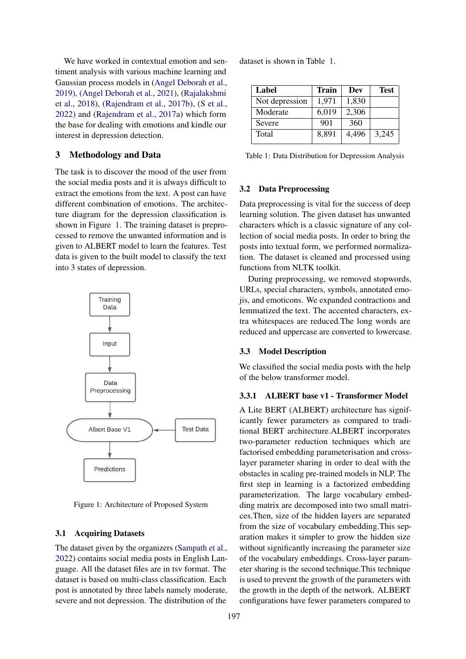We have worked in contextual emotion and sentiment analysis with various machine learning and Gaussian process models in [\(Angel Deborah et al.,](#page-3-9) [2019\)](#page-3-9), [\(Angel Deborah et al.,](#page-3-10) [2021\)](#page-3-10), [\(Rajalakshmi](#page-3-11) [et al.,](#page-3-11) [2018\)](#page-3-11), [\(Rajendram et al.,](#page-3-12) [2017b\)](#page-3-12), [\(S et al.,](#page-3-13) [2022\)](#page-3-13) and [\(Rajendram et al.,](#page-3-14) [2017a\)](#page-3-14) which form the base for dealing with emotions and kindle our interest in depression detection.

# 3 Methodology and Data

The task is to discover the mood of the user from the social media posts and it is always difficult to extract the emotions from the text. A post can have different combination of emotions. The architecture diagram for the depression classification is shown in Figure [1.](#page-1-0) The training dataset is preprocessed to remove the unwanted information and is given to ALBERT model to learn the features. Test data is given to the built model to classify the text into 3 states of depression.

<span id="page-1-0"></span>

Figure 1: Architecture of Proposed System

### 3.1 Acquiring Datasets

The dataset given by the organizers [\(Sampath et al.,](#page-3-3) [2022\)](#page-3-3) contains social media posts in English Language. All the dataset files are in tsv format. The dataset is based on multi-class classification. Each post is annotated by three labels namely moderate, severe and not depression. The distribution of the

dataset is shown in Table [1.](#page-1-1)

<span id="page-1-1"></span>

| Label          | <b>Train</b> | Dev   | <b>Test</b> |
|----------------|--------------|-------|-------------|
| Not depression | 1,971        | 1,830 |             |
| Moderate       | 6,019        | 2,306 |             |
| Severe         | 901          | 360   |             |
| Total          | 8,891        | 4,496 | 3,245       |

Table 1: Data Distribution for Depression Analysis

### 3.2 Data Preprocessing

Data preprocessing is vital for the success of deep learning solution. The given dataset has unwanted characters which is a classic signature of any collection of social media posts. In order to bring the posts into textual form, we performed normalization. The dataset is cleaned and processed using functions from NLTK toolkit.

During preprocessing, we removed stopwords, URLs, special characters, symbols, annotated emojis, and emoticons. We expanded contractions and lemmatized the text. The accented characters, extra whitespaces are reduced.The long words are reduced and uppercase are converted to lowercase.

#### 3.3 Model Description

We classified the social media posts with the help of the below transformer model.

### 3.3.1 ALBERT base v1 - Transformer Model

A Lite BERT (ALBERT) architecture has significantly fewer parameters as compared to traditional BERT architecture.ALBERT incorporates two-parameter reduction techniques which are factorised embedding parameterisation and crosslayer parameter sharing in order to deal with the obstacles in scaling pre-trained models in NLP. The first step in learning is a factorized embedding parameterization. The large vocabulary embedding matrix are decomposed into two small matrices.Then, size of the hidden layers are separated from the size of vocabulary embedding.This separation makes it simpler to grow the hidden size without significantly increasing the parameter size of the vocabulary embeddings. Cross-layer parameter sharing is the second technique.This technique is used to prevent the growth of the parameters with the growth in the depth of the network. ALBERT configurations have fewer parameters compared to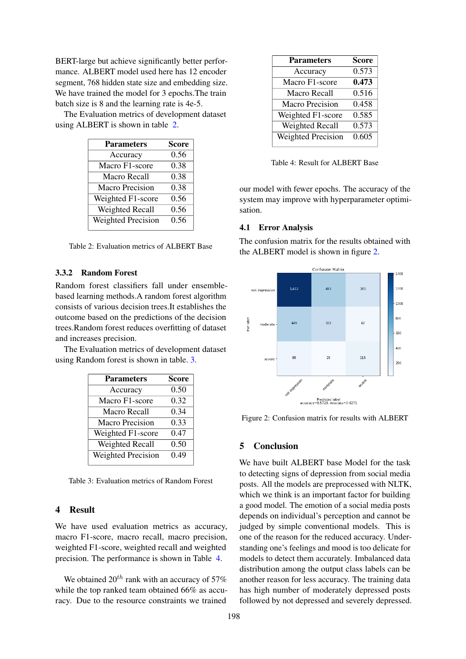BERT-large but achieve significantly better performance. ALBERT model used here has 12 encoder segment, 768 hidden state size and embedding size. We have trained the model for 3 epochs.The train batch size is 8 and the learning rate is 4e-5.

<span id="page-2-0"></span>The Evaluation metrics of development dataset using ALBERT is shown in table [2.](#page-2-0)

| <b>Parameters</b>         | <b>Score</b> |
|---------------------------|--------------|
| Accuracy                  | 0.56         |
| Macro F1-score            | 0.38         |
| Macro Recall              | 0.38         |
| Macro Precision           | 0.38         |
| Weighted F1-score         | 0.56         |
| Weighted Recall           | 0.56         |
| <b>Weighted Precision</b> | 0.56         |
|                           |              |

Table 2: Evaluation metrics of ALBERT Base

# 3.3.2 Random Forest

Random forest classifiers fall under ensemblebased learning methods.A random forest algorithm consists of various decision trees.It establishes the outcome based on the predictions of the decision trees.Random forest reduces overfitting of dataset and increases precision.

<span id="page-2-1"></span>The Evaluation metrics of development dataset using Random forest is shown in table. [3.](#page-2-1)

| <b>Parameters</b>         | <b>Score</b> |
|---------------------------|--------------|
| Accuracy                  | 0.50         |
| Macro F1-score            | 0.32         |
| Macro Recall              | 0.34         |
| <b>Macro Precision</b>    | 0.33         |
| Weighted F1-score         | 0.47         |
| Weighted Recall           | 0.50         |
| <b>Weighted Precision</b> | 0.49         |
|                           |              |

Table 3: Evaluation metrics of Random Forest

# 4 Result

We have used evaluation metrics as accuracy, macro F1-score, macro recall, macro precision, weighted F1-score, weighted recall and weighted precision. The performance is shown in Table [4.](#page-2-2)

We obtained  $20^{th}$  rank with an accuracy of 57% while the top ranked team obtained 66% as accuracy. Due to the resource constraints we trained

<span id="page-2-2"></span>

| <b>Parameters</b>         | <b>Score</b> |
|---------------------------|--------------|
| Accuracy                  | 0.573        |
| Macro F1-score            | 0.473        |
| Macro Recall              | 0.516        |
| Macro Precision           | 0.458        |
| Weighted F1-score         | 0.585        |
| Weighted Recall           | 0.573        |
| <b>Weighted Precision</b> | 0.605        |
|                           |              |

Table 4: Result for ALBERT Base

our model with fewer epochs. The accuracy of the system may improve with hyperparameter optimisation.

### 4.1 Error Analysis

The confusion matrix for the results obtained with the ALBERT model is shown in figure [2.](#page-2-3)

<span id="page-2-3"></span>

Figure 2: Confusion matrix for results with ALBERT

# 5 Conclusion

We have built ALBERT base Model for the task to detecting signs of depression from social media posts. All the models are preprocessed with NLTK, which we think is an important factor for building a good model. The emotion of a social media posts depends on individual's perception and cannot be judged by simple conventional models. This is one of the reason for the reduced accuracy. Understanding one's feelings and mood is too delicate for models to detect them accurately. Imbalanced data distribution among the output class labels can be another reason for less accuracy. The training data has high number of moderately depressed posts followed by not depressed and severely depressed.